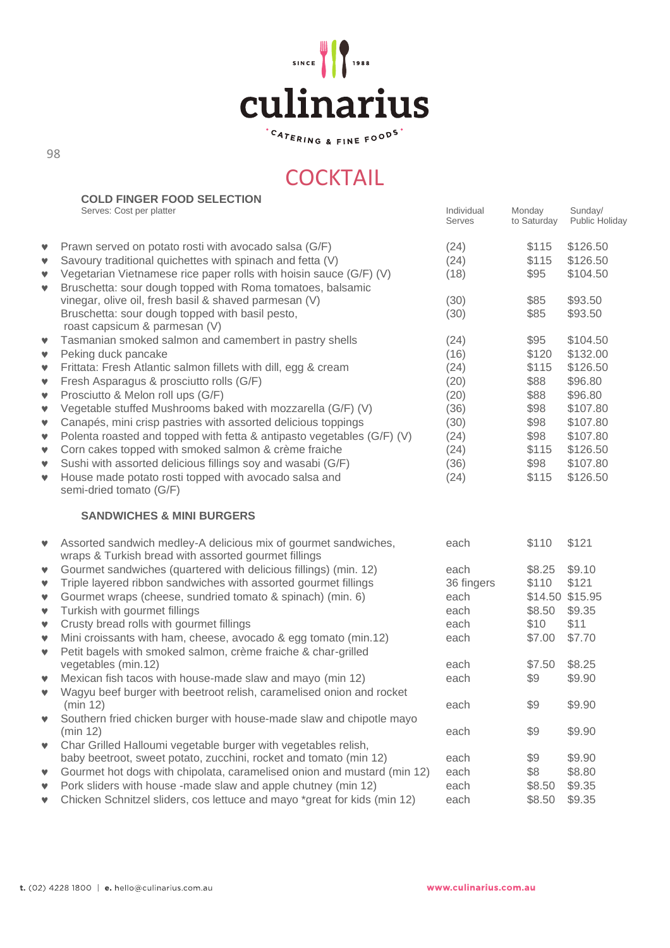

<sup>.</sup>CATERING & FINE FOOD<sup>S</sup>

# **COCKTAIL**

|                      | <b>COLD FINGER FOOD SELECTION</b>                                                                                                |                      |                       |                           |
|----------------------|----------------------------------------------------------------------------------------------------------------------------------|----------------------|-----------------------|---------------------------|
|                      | Serves: Cost per platter                                                                                                         | Individual<br>Serves | Monday<br>to Saturday | Sunday/<br>Public Holiday |
| v                    | Prawn served on potato rosti with avocado salsa (G/F)                                                                            | (24)                 | \$115                 | \$126.50                  |
| v                    | Savoury traditional quichettes with spinach and fetta (V)                                                                        | (24)                 | \$115                 | \$126.50                  |
| v<br>$\mathbf v$     | Vegetarian Vietnamese rice paper rolls with hoisin sauce (G/F) (V)<br>Bruschetta: sour dough topped with Roma tomatoes, balsamic | (18)                 | \$95                  | \$104.50                  |
|                      | vinegar, olive oil, fresh basil & shaved parmesan (V)                                                                            | (30)                 | \$85                  | \$93.50                   |
|                      | Bruschetta: sour dough topped with basil pesto,<br>roast capsicum & parmesan (V)                                                 | (30)                 | \$85                  | \$93.50                   |
| $\blacktriangledown$ | Tasmanian smoked salmon and camembert in pastry shells                                                                           | (24)                 | \$95                  | \$104.50                  |
| v                    | Peking duck pancake                                                                                                              | (16)                 | \$120                 | \$132.00                  |
| v                    | Frittata: Fresh Atlantic salmon fillets with dill, egg & cream                                                                   | (24)                 | \$115                 | \$126.50                  |
| $\blacktriangledown$ | Fresh Asparagus & prosciutto rolls (G/F)                                                                                         | (20)                 | \$88                  | \$96.80                   |
| $\blacktriangledown$ | Prosciutto & Melon roll ups (G/F)                                                                                                | (20)                 | \$88                  | \$96.80                   |
| v                    | Vegetable stuffed Mushrooms baked with mozzarella (G/F) (V)                                                                      | (36)                 | \$98                  | \$107.80                  |
| v                    | Canapés, mini crisp pastries with assorted delicious toppings                                                                    | (30)                 | \$98                  | \$107.80                  |
| v                    | Polenta roasted and topped with fetta & antipasto vegetables (G/F) (V)                                                           | (24)                 | \$98                  | \$107.80                  |
| v                    | Corn cakes topped with smoked salmon & crème fraiche                                                                             | (24)                 | \$115                 | \$126.50                  |
| v                    | Sushi with assorted delicious fillings soy and wasabi (G/F)                                                                      | (36)                 | \$98                  | \$107.80                  |
| $\mathbf v$          | House made potato rosti topped with avocado salsa and<br>semi-dried tomato (G/F)                                                 | (24)                 | \$115                 | \$126.50                  |
|                      | <b>SANDWICHES &amp; MINI BURGERS</b>                                                                                             |                      |                       |                           |
| v                    | Assorted sandwich medley-A delicious mix of gourmet sandwiches,<br>wraps & Turkish bread with assorted gourmet fillings          | each                 | \$110                 | \$121                     |
| v                    | Gourmet sandwiches (quartered with delicious fillings) (min. 12)                                                                 | each                 | \$8.25                | \$9.10                    |
| v                    | Triple layered ribbon sandwiches with assorted gourmet fillings                                                                  | 36 fingers           | \$110                 | \$121                     |
| v                    | Gourmet wraps (cheese, sundried tomato & spinach) (min. 6)                                                                       | each                 |                       | \$14.50 \$15.95           |
| v                    | Turkish with gourmet fillings                                                                                                    | each                 | \$8.50                | \$9.35                    |
| $\blacktriangledown$ | Crusty bread rolls with gourmet fillings                                                                                         | each                 | \$10                  | \$11                      |
| v<br>v               | Mini croissants with ham, cheese, avocado & egg tomato (min.12)<br>Petit bagels with smoked salmon, crème fraiche & char-grilled | each                 | \$7.00                | \$7.70                    |
|                      | vegetables (min.12)                                                                                                              | each                 | \$7.50                | \$8.25                    |
| v                    | Mexican fish tacos with house-made slaw and mayo (min 12)                                                                        | each                 | \$9                   | \$9.90                    |
| v                    | Wagyu beef burger with beetroot relish, caramelised onion and rocket                                                             |                      |                       |                           |
|                      | (min 12)                                                                                                                         | each                 | \$9                   | \$9.90                    |
| v                    | Southern fried chicken burger with house-made slaw and chipotle mayo<br>(min 12)                                                 |                      |                       |                           |
|                      | Char Grilled Halloumi vegetable burger with vegetables relish,                                                                   | each                 | \$9                   | \$9.90                    |
| v                    | baby beetroot, sweet potato, zucchini, rocket and tomato (min 12)                                                                | each                 | \$9                   | \$9.90                    |
| v                    | Gourmet hot dogs with chipolata, caramelised onion and mustard (min 12)                                                          | each                 | \$8                   | \$8.80                    |
| v                    | Pork sliders with house -made slaw and apple chutney (min 12)                                                                    | each                 | \$8.50                | \$9.35                    |
|                      | Chicken Schnitzel sliders, cos lettuce and mayo *great for kids (min 12)                                                         | each                 | \$8.50                | \$9.35                    |
|                      |                                                                                                                                  |                      |                       |                           |

98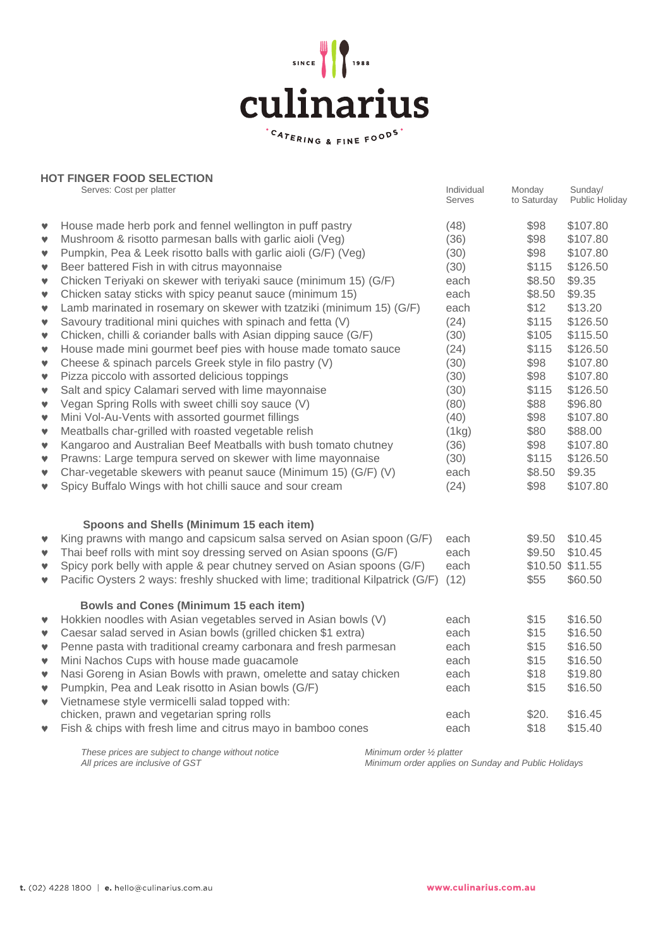

|                                                                                          | <b>HOT FINGER FOOD SELECTION</b>                                                                                                                                                                                                                                                                                                                                                                                                                                                                                                                                                                                                                                                                                                    | Individual                                                           | Monday                                                           | Sunday/                                                                                                 |
|------------------------------------------------------------------------------------------|-------------------------------------------------------------------------------------------------------------------------------------------------------------------------------------------------------------------------------------------------------------------------------------------------------------------------------------------------------------------------------------------------------------------------------------------------------------------------------------------------------------------------------------------------------------------------------------------------------------------------------------------------------------------------------------------------------------------------------------|----------------------------------------------------------------------|------------------------------------------------------------------|---------------------------------------------------------------------------------------------------------|
|                                                                                          | Serves: Cost per platter                                                                                                                                                                                                                                                                                                                                                                                                                                                                                                                                                                                                                                                                                                            | Serves                                                               | to Saturday                                                      | Public Holiday                                                                                          |
| v                                                                                        | House made herb pork and fennel wellington in puff pastry                                                                                                                                                                                                                                                                                                                                                                                                                                                                                                                                                                                                                                                                           | (48)                                                                 | \$98                                                             | \$107.80                                                                                                |
| $\mathbf v$                                                                              | Mushroom & risotto parmesan balls with garlic aioli (Veg)                                                                                                                                                                                                                                                                                                                                                                                                                                                                                                                                                                                                                                                                           | (36)                                                                 | \$98                                                             | \$107.80                                                                                                |
| $\mathbf v$                                                                              | Pumpkin, Pea & Leek risotto balls with garlic aioli (G/F) (Veg)                                                                                                                                                                                                                                                                                                                                                                                                                                                                                                                                                                                                                                                                     | (30)                                                                 | \$98                                                             | \$107.80                                                                                                |
| $\mathbf v$                                                                              | Beer battered Fish in with citrus mayonnaise                                                                                                                                                                                                                                                                                                                                                                                                                                                                                                                                                                                                                                                                                        | (30)                                                                 | \$115                                                            | \$126.50                                                                                                |
| $\mathbf v$                                                                              | Chicken Teriyaki on skewer with teriyaki sauce (minimum 15) (G/F)                                                                                                                                                                                                                                                                                                                                                                                                                                                                                                                                                                                                                                                                   | each                                                                 | \$8.50                                                           | \$9.35                                                                                                  |
| $\mathbf v$                                                                              | Chicken satay sticks with spicy peanut sauce (minimum 15)                                                                                                                                                                                                                                                                                                                                                                                                                                                                                                                                                                                                                                                                           | each                                                                 | \$8.50                                                           | \$9.35                                                                                                  |
| $\mathbf v$                                                                              | Lamb marinated in rosemary on skewer with tzatziki (minimum 15) (G/F)                                                                                                                                                                                                                                                                                                                                                                                                                                                                                                                                                                                                                                                               | each                                                                 | \$12                                                             | \$13.20                                                                                                 |
| $\pmb{\mathbb{v}}$                                                                       | Savoury traditional mini quiches with spinach and fetta (V)                                                                                                                                                                                                                                                                                                                                                                                                                                                                                                                                                                                                                                                                         | (24)                                                                 | \$115                                                            | \$126.50                                                                                                |
| v                                                                                        | Chicken, chilli & coriander balls with Asian dipping sauce (G/F)                                                                                                                                                                                                                                                                                                                                                                                                                                                                                                                                                                                                                                                                    | (30)                                                                 | \$105                                                            | \$115.50                                                                                                |
| v                                                                                        | House made mini gourmet beef pies with house made tomato sauce                                                                                                                                                                                                                                                                                                                                                                                                                                                                                                                                                                                                                                                                      | (24)                                                                 | \$115                                                            | \$126.50                                                                                                |
| $\mathbf v$                                                                              | Cheese & spinach parcels Greek style in filo pastry (V)                                                                                                                                                                                                                                                                                                                                                                                                                                                                                                                                                                                                                                                                             | (30)                                                                 | \$98                                                             | \$107.80                                                                                                |
| $\mathbf v$                                                                              | Pizza piccolo with assorted delicious toppings                                                                                                                                                                                                                                                                                                                                                                                                                                                                                                                                                                                                                                                                                      | (30)                                                                 | \$98                                                             | \$107.80                                                                                                |
| $\mathbf v$                                                                              | Salt and spicy Calamari served with lime mayonnaise                                                                                                                                                                                                                                                                                                                                                                                                                                                                                                                                                                                                                                                                                 | (30)                                                                 | \$115                                                            | \$126.50                                                                                                |
| v                                                                                        | Vegan Spring Rolls with sweet chilli soy sauce (V)                                                                                                                                                                                                                                                                                                                                                                                                                                                                                                                                                                                                                                                                                  | (80)                                                                 | \$88                                                             | \$96.80                                                                                                 |
| v                                                                                        | Mini Vol-Au-Vents with assorted gourmet fillings                                                                                                                                                                                                                                                                                                                                                                                                                                                                                                                                                                                                                                                                                    | (40)                                                                 | \$98                                                             | \$107.80                                                                                                |
| $\mathbf v$                                                                              | Meatballs char-grilled with roasted vegetable relish                                                                                                                                                                                                                                                                                                                                                                                                                                                                                                                                                                                                                                                                                | (1kg)                                                                | \$80                                                             | \$88.00                                                                                                 |
| $\mathbf v$                                                                              | Kangaroo and Australian Beef Meatballs with bush tomato chutney                                                                                                                                                                                                                                                                                                                                                                                                                                                                                                                                                                                                                                                                     | (36)                                                                 | \$98                                                             | \$107.80                                                                                                |
| $\mathbf v$                                                                              | Prawns: Large tempura served on skewer with lime mayonnaise                                                                                                                                                                                                                                                                                                                                                                                                                                                                                                                                                                                                                                                                         | (30)                                                                 | \$115                                                            | \$126.50                                                                                                |
| v                                                                                        | Char-vegetable skewers with peanut sauce (Minimum 15) (G/F) (V)                                                                                                                                                                                                                                                                                                                                                                                                                                                                                                                                                                                                                                                                     | each                                                                 | \$8.50                                                           | \$9.35                                                                                                  |
| v                                                                                        | Spicy Buffalo Wings with hot chilli sauce and sour cream                                                                                                                                                                                                                                                                                                                                                                                                                                                                                                                                                                                                                                                                            | (24)                                                                 | \$98                                                             | \$107.80                                                                                                |
| v<br>v<br>$\mathbf v$<br>$\pmb{\mathbb{v}}$<br>v<br>$\mathbf v$<br>v<br>$\mathbf v$<br>v | Spoons and Shells (Minimum 15 each item)<br>King prawns with mango and capsicum salsa served on Asian spoon (G/F)<br>Thai beef rolls with mint soy dressing served on Asian spoons (G/F)<br>Spicy pork belly with apple & pear chutney served on Asian spoons (G/F)<br>Pacific Oysters 2 ways: freshly shucked with lime; traditional Kilpatrick (G/F)<br><b>Bowls and Cones (Minimum 15 each item)</b><br>Hokkien noodles with Asian vegetables served in Asian bowls (V)<br>Caesar salad served in Asian bowls (grilled chicken \$1 extra)<br>Penne pasta with traditional creamy carbonara and fresh parmesan<br>Mini Nachos Cups with house made guacamole<br>Nasi Goreng in Asian Bowls with prawn, omelette and satay chicken | each<br>each<br>each<br>(12)<br>each<br>each<br>each<br>each<br>each | \$9.50<br>\$9.50<br>\$55<br>\$15<br>\$15<br>\$15<br>\$15<br>\$18 | \$10.45<br>\$10.45<br>\$10.50 \$11.55<br>\$60.50<br>\$16.50<br>\$16.50<br>\$16.50<br>\$16.50<br>\$19.80 |
| $\mathbf v$<br>$\pmb{\mathbb{v}}$<br>$\mathbf v$                                         | Pumpkin, Pea and Leak risotto in Asian bowls (G/F)<br>Vietnamese style vermicelli salad topped with:<br>chicken, prawn and vegetarian spring rolls<br>Fish & chips with fresh lime and citrus mayo in bamboo cones                                                                                                                                                                                                                                                                                                                                                                                                                                                                                                                  | each<br>each<br>each                                                 | \$15<br>\$20.<br>\$18                                            | \$16.50<br>\$16.45<br>\$15.40                                                                           |

*These prices are subject to change without notice Minimum order ½ platter*

*All prices are inclusive of GST Minimum order applies on Sunday and Public Holidays*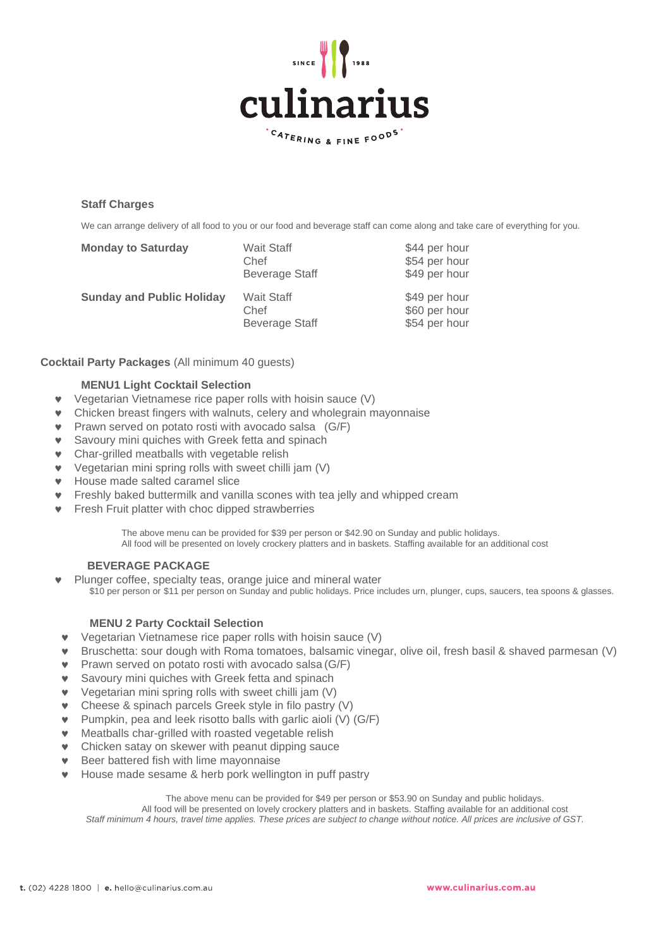

# **Staff Charges**

We can arrange delivery of all food to you or our food and beverage staff can come along and take care of everything for you.

| <b>Monday to Saturday</b>        | <b>Wait Staff</b><br>Chef<br><b>Beverage Staff</b> | \$44 per hour<br>\$54 per hour<br>\$49 per hour |
|----------------------------------|----------------------------------------------------|-------------------------------------------------|
| <b>Sunday and Public Holiday</b> | <b>Wait Staff</b><br>Chef<br><b>Beverage Staff</b> | \$49 per hour<br>\$60 per hour<br>\$54 per hour |

# **Cocktail Party Packages** (All minimum 40 guests)

## **MENU1 Light Cocktail Selection**

- Vegetarian Vietnamese rice paper rolls with hoisin sauce (V)
- Chicken breast fingers with walnuts, celery and wholegrain mayonnaise
- Prawn served on potato rosti with avocado salsa (G/F)
- Savoury mini quiches with Greek fetta and spinach
- Char-grilled meatballs with vegetable relish
- Vegetarian mini spring rolls with sweet chilli jam (V)
- House made salted caramel slice
- Freshly baked buttermilk and vanilla scones with tea jelly and whipped cream
- Fresh Fruit platter with choc dipped strawberries

The above menu can be provided for \$39 per person or \$42.90 on Sunday and public holidays.

All food will be presented on lovely crockery platters and in baskets. Staffing available for an additional cost

# **BEVERAGE PACKAGE**

 Plunger coffee, specialty teas, orange juice and mineral water \$10 per person or \$11 per person on Sunday and public holidays. Price includes urn, plunger, cups, saucers, tea spoons & glasses.

# **MENU 2 Party Cocktail Selection**

- Vegetarian Vietnamese rice paper rolls with hoisin sauce (V)
- Bruschetta: sour dough with Roma tomatoes, balsamic vinegar, olive oil, fresh basil & shaved parmesan (V)
- Prawn served on potato rosti with avocado salsa (G/F)
- **v** Savoury mini quiches with Greek fetta and spinach
- Vegetarian mini spring rolls with sweet chilli jam (V)
- Cheese & spinach parcels Greek style in filo pastry (V)
- Pumpkin, pea and leek risotto balls with garlic aioli (V) (G/F)
- Meatballs char-grilled with roasted vegetable relish
- Chicken satay on skewer with peanut dipping sauce
- Beer battered fish with lime mayonnaise
- House made sesame & herb pork wellington in puff pastry

The above menu can be provided for \$49 per person or \$53.90 on Sunday and public holidays.

All food will be presented on lovely crockery platters and in baskets. Staffing available for an additional cost *Staff minimum 4 hours, travel time applies. These prices are subject to change without notice. All prices are inclusive of GST.*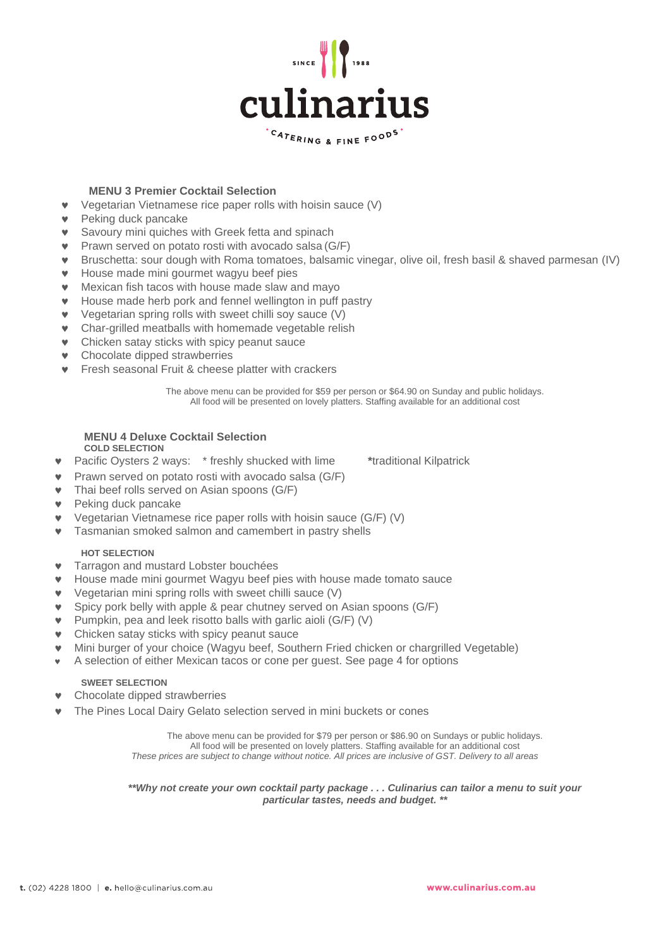

# **MENU 3 Premier Cocktail Selection**

- Vegetarian Vietnamese rice paper rolls with hoisin sauce (V)
- **v** Peking duck pancake
- **v** Savoury mini quiches with Greek fetta and spinach
- Prawn served on potato rosti with avocado salsa (G/F)
- Bruschetta: sour dough with Roma tomatoes, balsamic vinegar, olive oil, fresh basil & shaved parmesan (IV)
- **•** House made mini gourmet wagyu beef pies
- Mexican fish tacos with house made slaw and mayo
- House made herb pork and fennel wellington in puff pastry
- Vegetarian spring rolls with sweet chilli soy sauce (V)
- Char-grilled meatballs with homemade vegetable relish
- **v** Chicken satay sticks with spicy peanut sauce
- **v** Chocolate dipped strawberries
- **v** Fresh seasonal Fruit & cheese platter with crackers

The above menu can be provided for \$59 per person or \$64.90 on Sunday and public holidays. All food will be presented on lovely platters. Staffing available for an additional cost

#### **MENU 4 Deluxe Cocktail Selection COLD SELECTION**

Pacific Oysters 2 ways: \* freshly shucked with lime **\***traditional Kilpatrick

Prawn served on potato rosti with avocado salsa (G/F)

- Thai beef rolls served on Asian spoons (G/F)
- Peking duck pancake
- Vegetarian Vietnamese rice paper rolls with hoisin sauce (G/F) (V)
- **v** Tasmanian smoked salmon and camembert in pastry shells

## **HOT SELECTION**

- **v** Tarragon and mustard Lobster bouchées
- House made mini gourmet Wagyu beef pies with house made tomato sauce
- Vegetarian mini spring rolls with sweet chilli sauce (V)
- Spicy pork belly with apple & pear chutney served on Asian spoons (G/F)
- Pumpkin, pea and leek risotto balls with garlic aioli (G/F) (V)
- **v** Chicken satay sticks with spicy peanut sauce
- Mini burger of your choice (Wagyu beef, Southern Fried chicken or chargrilled Vegetable)
- A selection of either Mexican tacos or cone per guest. See page 4 for options

## **SWEET SELECTION**

- Chocolate dipped strawberries
- The Pines Local Dairy Gelato selection served in mini buckets or cones

The above menu can be provided for \$79 per person or \$86.90 on Sundays or public holidays. All food will be presented on lovely platters. Staffing available for an additional cost *These prices are subject to change without notice. All prices are inclusive of GST. Delivery to all areas*

*\*\*Why not create your own cocktail party package . . . Culinarius can tailor a menu to suit your particular tastes, needs and budget. \*\**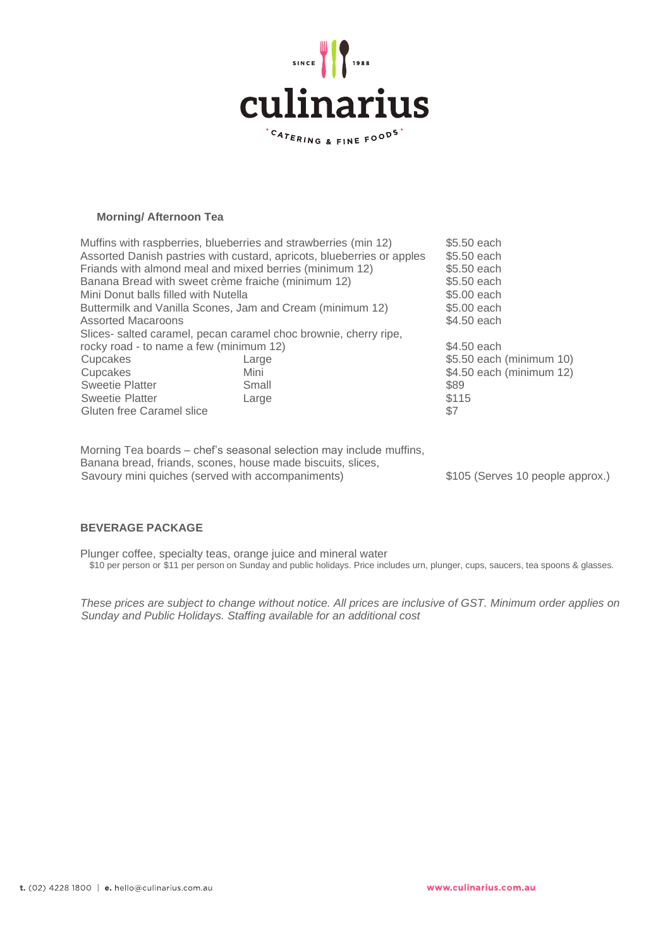

# **Morning/ Afternoon Tea**

| Muffins with raspberries, blueberries and strawberries (min 12)<br>Assorted Danish pastries with custard, apricots, blueberries or apples<br>Friands with almond meal and mixed berries (minimum 12) | \$5,50 each<br>\$5,50 each<br>\$5,50 each |                          |  |  |
|------------------------------------------------------------------------------------------------------------------------------------------------------------------------------------------------------|-------------------------------------------|--------------------------|--|--|
| Banana Bread with sweet crème fraiche (minimum 12)                                                                                                                                                   | \$5,50 each                               |                          |  |  |
|                                                                                                                                                                                                      |                                           |                          |  |  |
| Mini Donut balls filled with Nutella                                                                                                                                                                 | \$5.00 each                               |                          |  |  |
| Buttermilk and Vanilla Scones, Jam and Cream (minimum 12)                                                                                                                                            | \$5,00 each                               |                          |  |  |
| <b>Assorted Macaroons</b>                                                                                                                                                                            | \$4.50 each                               |                          |  |  |
| Slices- salted caramel, pecan caramel choc brownie, cherry ripe,                                                                                                                                     |                                           |                          |  |  |
| rocky road - to name a few (minimum 12)                                                                                                                                                              | \$4,50 each                               |                          |  |  |
| Cupcakes                                                                                                                                                                                             | Large                                     | \$5.50 each (minimum 10) |  |  |
| Cupcakes                                                                                                                                                                                             | Mini                                      | \$4.50 each (minimum 12) |  |  |
| <b>Sweetie Platter</b>                                                                                                                                                                               | Small                                     | \$89                     |  |  |
| Sweetie Platter                                                                                                                                                                                      | Large                                     | \$115                    |  |  |
| <b>Gluten free Caramel slice</b>                                                                                                                                                                     | \$7                                       |                          |  |  |
|                                                                                                                                                                                                      |                                           |                          |  |  |

Morning Tea boards – chef's seasonal selection may include muffins, Banana bread, friands, scones, house made biscuits, slices, Savoury mini quiches (served with accompaniments) \$105 (Serves 10 people approx.)

# **BEVERAGE PACKAGE**

Plunger coffee, specialty teas, orange juice and mineral water \$10 per person or \$11 per person on Sunday and public holidays. Price includes urn, plunger, cups, saucers, tea spoons & glasses.

*These prices are subject to change without notice. All prices are inclusive of GST. Minimum order applies on Sunday and Public Holidays. Staffing available for an additional cost*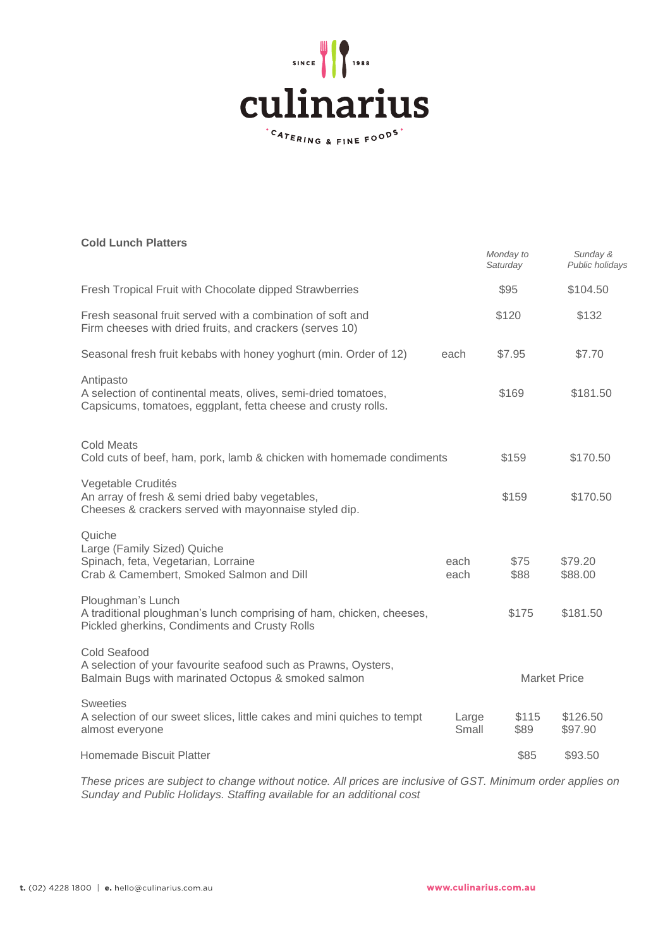

# **Cold Lunch Platters**

| <b>Cold Lunch Platters</b>                                                                                                                   |                | Monday to<br>Saturday | Sunday &<br>Public holidays |
|----------------------------------------------------------------------------------------------------------------------------------------------|----------------|-----------------------|-----------------------------|
| Fresh Tropical Fruit with Chocolate dipped Strawberries                                                                                      |                | \$95                  | \$104.50                    |
| Fresh seasonal fruit served with a combination of soft and<br>Firm cheeses with dried fruits, and crackers (serves 10)                       |                | \$120                 | \$132                       |
| Seasonal fresh fruit kebabs with honey yoghurt (min. Order of 12)                                                                            | each           | \$7.95                | \$7.70                      |
| Antipasto<br>A selection of continental meats, olives, semi-dried tomatoes,<br>Capsicums, tomatoes, eggplant, fetta cheese and crusty rolls. |                | \$169                 | \$181.50                    |
| <b>Cold Meats</b><br>Cold cuts of beef, ham, pork, lamb & chicken with homemade condiments                                                   |                | \$159                 | \$170.50                    |
| Vegetable Crudités<br>An array of fresh & semi dried baby vegetables,<br>Cheeses & crackers served with mayonnaise styled dip.               |                | \$159                 | \$170.50                    |
| Quiche<br>Large (Family Sized) Quiche<br>Spinach, feta, Vegetarian, Lorraine<br>Crab & Camembert, Smoked Salmon and Dill                     | each<br>each   | \$75<br>\$88          | \$79.20<br>\$88.00          |
| Ploughman's Lunch<br>A traditional ploughman's lunch comprising of ham, chicken, cheeses,<br>Pickled gherkins, Condiments and Crusty Rolls   |                | \$175                 | \$181.50                    |
| Cold Seafood<br>A selection of your favourite seafood such as Prawns, Oysters,<br>Balmain Bugs with marinated Octopus & smoked salmon        |                |                       | <b>Market Price</b>         |
| <b>Sweeties</b><br>A selection of our sweet slices, little cakes and mini quiches to tempt<br>almost everyone                                | Large<br>Small | \$115<br>\$89         | \$126.50<br>\$97.90         |
| <b>Homemade Biscuit Platter</b>                                                                                                              |                | \$85                  | \$93.50                     |

*These prices are subject to change without notice. All prices are inclusive of GST. Minimum order applies on Sunday and Public Holidays. Staffing available for an additional cost*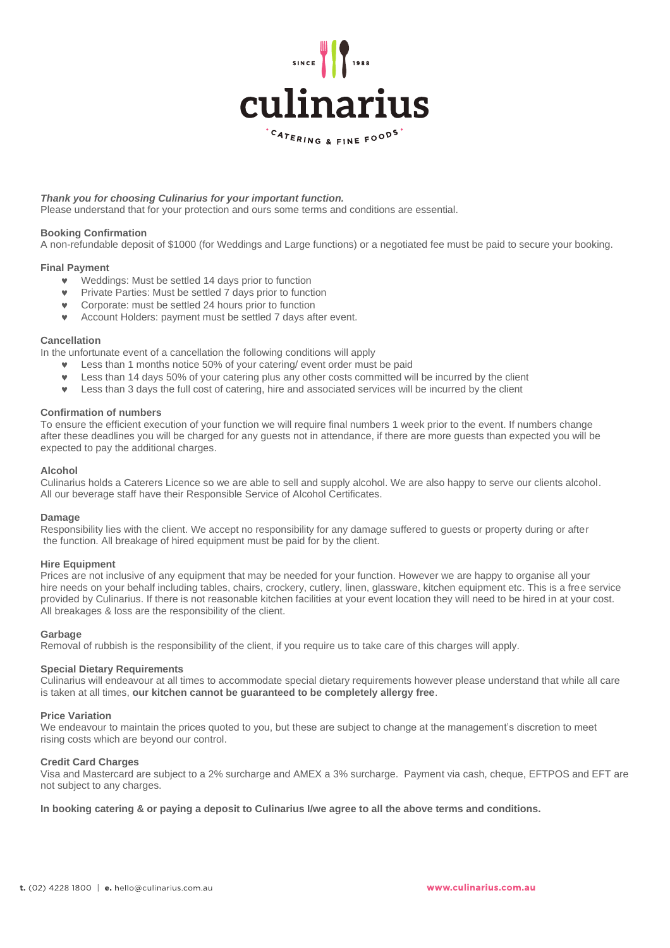

## *Thank you for choosing Culinarius for your important function.*

Please understand that for your protection and ours some terms and conditions are essential.

## **Booking Confirmation**

A non-refundable deposit of \$1000 (for Weddings and Large functions) or a negotiated fee must be paid to secure your booking.

## **Final Payment**

- Weddings: Must be settled 14 days prior to function
- Private Parties: Must be settled 7 days prior to function
- Corporate: must be settled 24 hours prior to function
- Account Holders: payment must be settled 7 days after event.

## **Cancellation**

In the unfortunate event of a cancellation the following conditions will apply

- Less than 1 months notice 50% of your catering/ event order must be paid
- Less than 14 days 50% of your catering plus any other costs committed will be incurred by the client
- Less than 3 days the full cost of catering, hire and associated services will be incurred by the client

## **Confirmation of numbers**

To ensure the efficient execution of your function we will require final numbers 1 week prior to the event. If numbers change after these deadlines you will be charged for any guests not in attendance, if there are more guests than expected you will be expected to pay the additional charges.

## **Alcohol**

Culinarius holds a Caterers Licence so we are able to sell and supply alcohol. We are also happy to serve our clients alcohol. All our beverage staff have their Responsible Service of Alcohol Certificates.

#### **Damage**

Responsibility lies with the client. We accept no responsibility for any damage suffered to guests or property during or after the function. All breakage of hired equipment must be paid for by the client.

#### **Hire Equipment**

Prices are not inclusive of any equipment that may be needed for your function. However we are happy to organise all your hire needs on your behalf including tables, chairs, crockery, cutlery, linen, glassware, kitchen equipment etc. This is a free service provided by Culinarius. If there is not reasonable kitchen facilities at your event location they will need to be hired in at your cost. All breakages & loss are the responsibility of the client.

#### **Garbage**

Removal of rubbish is the responsibility of the client, if you require us to take care of this charges will apply.

#### **Special Dietary Requirements**

Culinarius will endeavour at all times to accommodate special dietary requirements however please understand that while all care is taken at all times, **our kitchen cannot be guaranteed to be completely allergy free**.

#### **Price Variation**

We endeavour to maintain the prices quoted to you, but these are subject to change at the management's discretion to meet rising costs which are beyond our control.

## **Credit Card Charges**

Visa and Mastercard are subject to a 2% surcharge and AMEX a 3% surcharge. Payment via cash, cheque, EFTPOS and EFT are not subject to any charges.

**In booking catering & or paying a deposit to Culinarius I/we agree to all the above terms and conditions.**